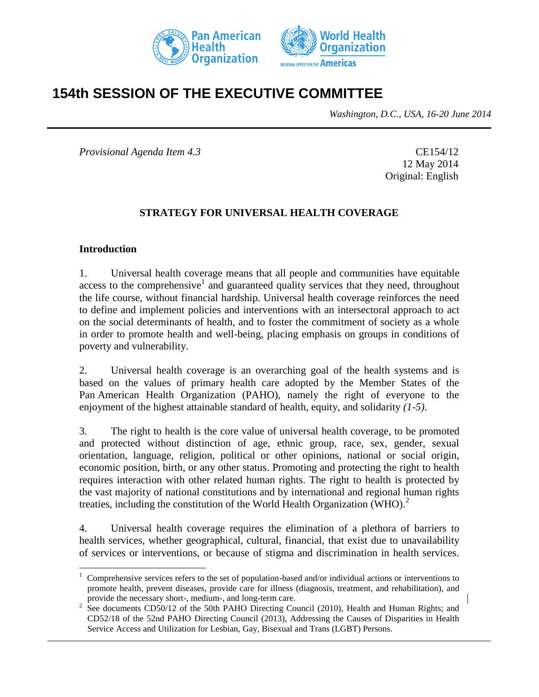



# **154th SESSION OF THE EXECUTIVE COMMITTEE**

*Washington, D.C., USA, 16-20 June 2014*

*Provisional Agenda Item 4.3* CE154/12

12 May 2014 Original: English

#### **STRATEGY FOR UNIVERSAL HEALTH COVERAGE**

#### **Introduction**

 $\overline{a}$ 

1. Universal health coverage means that all people and communities have equitable  $access$  to the comprehensive<sup>1</sup> and guaranteed quality services that they need, throughout the life course, without financial hardship. Universal health coverage reinforces the need to define and implement policies and interventions with an intersectoral approach to act on the social determinants of health, and to foster the commitment of society as a whole in order to promote health and well-being, placing emphasis on groups in conditions of poverty and vulnerability.

2. Universal health coverage is an overarching goal of the health systems and is based on the values of primary health care adopted by the Member States of the Pan American Health Organization (PAHO), namely the right of everyone to the enjoyment of the highest attainable standard of health*,* equity, and solidarity *(1-5)*.

3. The right to health is the core value of universal health coverage, to be promoted and protected without distinction of age, ethnic group, race, sex, gender, sexual orientation, language, religion, political or other opinions, national or social origin, economic position, birth, or any other status. Promoting and protecting the right to health requires interaction with other related human rights. The right to health is protected by the vast majority of national constitutions and by international and regional human rights treaties, including the constitution of the World Health Organization (WHO).<sup>2</sup>

4. Universal health coverage requires the elimination of a plethora of barriers to health services, whether geographical, cultural, financial, that exist due to unavailability of services or interventions, or because of stigma and discrimination in health services.

<sup>1</sup> Comprehensive services refers to the set of population-based and/or individual actions or interventions to promote health, prevent diseases, provide care for illness (diagnosis, treatment, and rehabilitation), and provide the necessary short-, medium-, and long-term care.

<sup>2</sup> See documents CD50/12 of the 50th PAHO Directing Council (2010), Health and Human Rights; and CD52/18 of the 52nd PAHO Directing Council (2013), Addressing the Causes of Disparities in Health Service Access and Utilization for Lesbian, Gay, Bisexual and Trans (LGBT) Persons.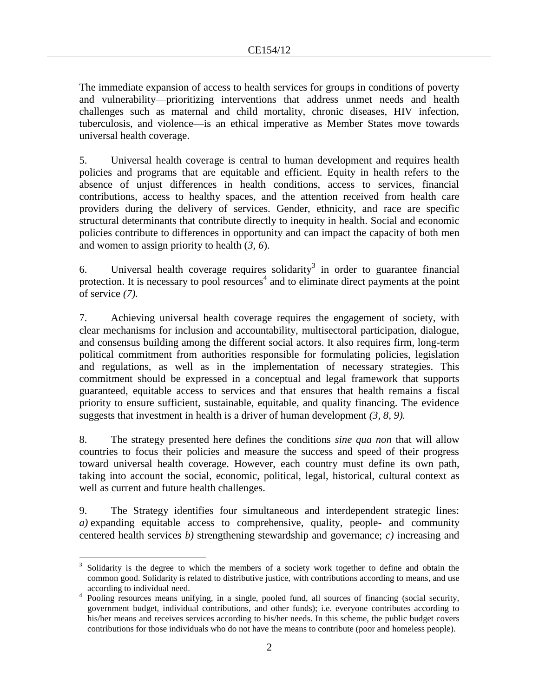The immediate expansion of access to health services for groups in conditions of poverty and vulnerability––prioritizing interventions that address unmet needs and health challenges such as maternal and child mortality, chronic diseases, HIV infection, tuberculosis, and violence––is an ethical imperative as Member States move towards universal health coverage.

5. Universal health coverage is central to human development and requires health policies and programs that are equitable and efficient. Equity in health refers to the absence of unjust differences in health conditions, access to services, financial contributions, access to healthy spaces, and the attention received from health care providers during the delivery of services. Gender, ethnicity, and race are specific structural determinants that contribute directly to inequity in health. Social and economic policies contribute to differences in opportunity and can impact the capacity of both men and women to assign priority to health (*3, 6*).

6. Universal health coverage requires solidarity<sup>3</sup> in order to guarantee financial protection. It is necessary to pool resources<sup>4</sup> and to eliminate direct payments at the point of service *(7).* 

7. Achieving universal health coverage requires the engagement of society, with clear mechanisms for inclusion and accountability, multisectoral participation, dialogue, and consensus building among the different social actors. It also requires firm, long-term political commitment from authorities responsible for formulating policies, legislation and regulations, as well as in the implementation of necessary strategies. This commitment should be expressed in a conceptual and legal framework that supports guaranteed, equitable access to services and that ensures that health remains a fiscal priority to ensure sufficient, sustainable, equitable, and quality financing. The evidence suggests that investment in health is a driver of human development *(3, 8, 9).* 

8. The strategy presented here defines the conditions *sine qua non* that will allow countries to focus their policies and measure the success and speed of their progress toward universal health coverage. However, each country must define its own path, taking into account the social, economic, political, legal, historical, cultural context as well as current and future health challenges.

9. The Strategy identifies four simultaneous and interdependent strategic lines: *a)* expanding equitable access to comprehensive, quality, people- and community centered health services *b)* strengthening stewardship and governance; *c)* increasing and

 $\overline{a}$ 3 Solidarity is the degree to which the members of a society work together to define and obtain the common good. Solidarity is related to distributive justice, with contributions according to means, and use according to individual need.

<sup>&</sup>lt;sup>4</sup> Pooling resources means unifying, in a single, pooled fund, all sources of financing (social security, government budget, individual contributions, and other funds); i.e. everyone contributes according to his/her means and receives services according to his/her needs. In this scheme, the public budget covers contributions for those individuals who do not have the means to contribute (poor and homeless people).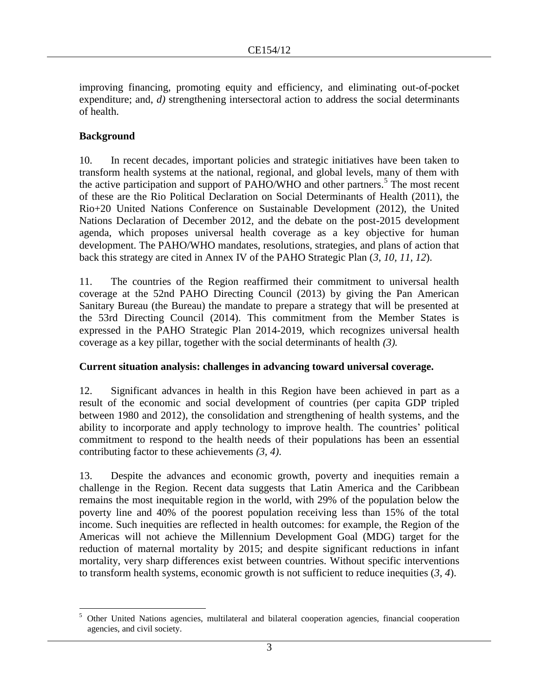improving financing, promoting equity and efficiency, and eliminating out-of-pocket expenditure; and, *d*) strengthening intersectoral action to address the social determinants of health.

## **Background**

10. In recent decades, important policies and strategic initiatives have been taken to transform health systems at the national, regional, and global levels, many of them with the active participation and support of PAHO/WHO and other partners.<sup>5</sup> The most recent of these are the Rio Political Declaration on Social Determinants of Health (2011), the Rio+20 United Nations Conference on Sustainable Development (2012), the United Nations Declaration of December 2012, and the debate on the post-2015 development agenda, which proposes universal health coverage as a key objective for human development. The PAHO/WHO mandates, resolutions, strategies, and plans of action that back this strategy are cited in Annex IV of the PAHO Strategic Plan (*3, 10, 11, 12*).

11. The countries of the Region reaffirmed their commitment to universal health coverage at the 52nd PAHO Directing Council (2013) by giving the Pan American Sanitary Bureau (the Bureau) the mandate to prepare a strategy that will be presented at the 53rd Directing Council (2014). This commitment from the Member States is expressed in the PAHO Strategic Plan 2014-2019, which recognizes universal health coverage as a key pillar, together with the social determinants of health *(3).* 

#### **Current situation analysis: challenges in advancing toward universal coverage.**

12. Significant advances in health in this Region have been achieved in part as a result of the economic and social development of countries (per capita GDP tripled between 1980 and 2012), the consolidation and strengthening of health systems, and the ability to incorporate and apply technology to improve health. The countries' political commitment to respond to the health needs of their populations has been an essential contributing factor to these achievements *(3, 4)*.

13. Despite the advances and economic growth, poverty and inequities remain a challenge in the Region. Recent data suggests that Latin America and the Caribbean remains the most inequitable region in the world, with 29% of the population below the poverty line and 40% of the poorest population receiving less than 15% of the total income. Such inequities are reflected in health outcomes: for example, the Region of the Americas will not achieve the Millennium Development Goal (MDG) target for the reduction of maternal mortality by 2015; and despite significant reductions in infant mortality, very sharp differences exist between countries. Without specific interventions to transform health systems, economic growth is not sufficient to reduce inequities (*3, 4*).

 $\overline{a}$ <sup>5</sup> Other United Nations agencies, multilateral and bilateral cooperation agencies, financial cooperation agencies, and civil society.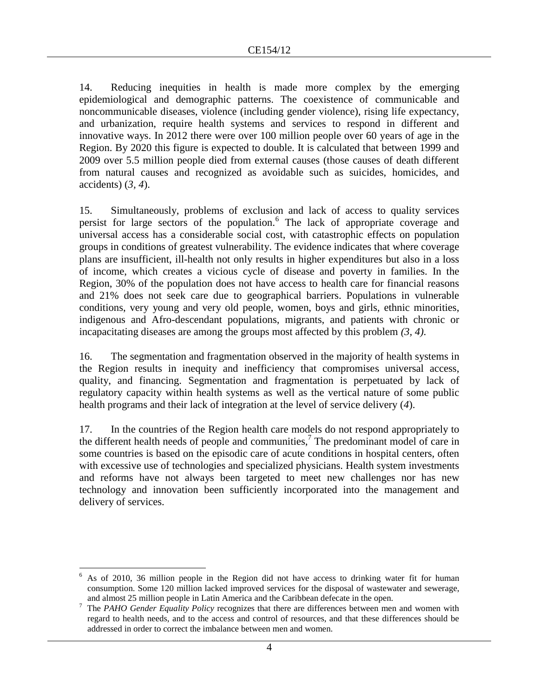14. Reducing inequities in health is made more complex by the emerging epidemiological and demographic patterns. The coexistence of communicable and noncommunicable diseases, violence (including gender violence), rising life expectancy, and urbanization, require health systems and services to respond in different and innovative ways. In 2012 there were over 100 million people over 60 years of age in the Region. By 2020 this figure is expected to double. It is calculated that between 1999 and 2009 over 5.5 million people died from external causes (those causes of death different from natural causes and recognized as avoidable such as suicides, homicides, and accidents) (*3, 4*).

15. Simultaneously, problems of exclusion and lack of access to quality services persist for large sectors of the population.<sup>6</sup> The lack of appropriate coverage and universal access has a considerable social cost, with catastrophic effects on population groups in conditions of greatest vulnerability. The evidence indicates that where coverage plans are insufficient, ill-health not only results in higher expenditures but also in a loss of income, which creates a vicious cycle of disease and poverty in families. In the Region, 30% of the population does not have access to health care for financial reasons and 21% does not seek care due to geographical barriers. Populations in vulnerable conditions, very young and very old people, women, boys and girls, ethnic minorities, indigenous and Afro-descendant populations, migrants, and patients with chronic or incapacitating diseases are among the groups most affected by this problem *(3, 4).*

16. The segmentation and fragmentation observed in the majority of health systems in the Region results in inequity and inefficiency that compromises universal access, quality, and financing. Segmentation and fragmentation is perpetuated by lack of regulatory capacity within health systems as well as the vertical nature of some public health programs and their lack of integration at the level of service delivery (*4*).

17. In the countries of the Region health care models do not respond appropriately to the different health needs of people and communities,<sup>7</sup> The predominant model of care in some countries is based on the episodic care of acute conditions in hospital centers, often with excessive use of technologies and specialized physicians. Health system investments and reforms have not always been targeted to meet new challenges nor has new technology and innovation been sufficiently incorporated into the management and delivery of services.

 $\overline{a}$ 

<sup>6</sup> As of 2010, 36 million people in the Region did not have access to drinking water fit for human consumption. Some 120 million lacked improved services for the disposal of wastewater and sewerage, and almost 25 million people in Latin America and the Caribbean defecate in the open.

<sup>&</sup>lt;sup>7</sup> The *PAHO Gender Equality Policy* recognizes that there are differences between men and women with regard to health needs, and to the access and control of resources, and that these differences should be addressed in order to correct the imbalance between men and women.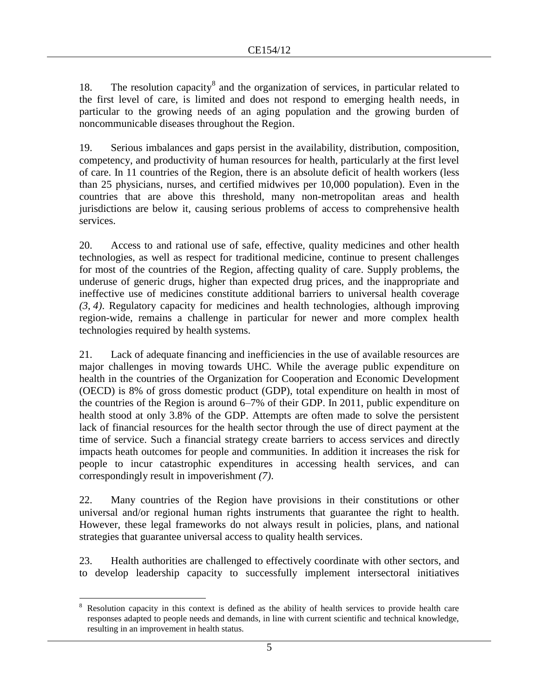18. The resolution capacity $8$  and the organization of services, in particular related to the first level of care, is limited and does not respond to emerging health needs, in particular to the growing needs of an aging population and the growing burden of noncommunicable diseases throughout the Region.

19. Serious imbalances and gaps persist in the availability, distribution, composition, competency, and productivity of human resources for health, particularly at the first level of care. In 11 countries of the Region, there is an absolute deficit of health workers (less than 25 physicians, nurses, and certified midwives per 10,000 population). Even in the countries that are above this threshold, many non-metropolitan areas and health jurisdictions are below it, causing serious problems of access to comprehensive health services.

20. Access to and rational use of safe, effective, quality medicines and other health technologies, as well as respect for traditional medicine, continue to present challenges for most of the countries of the Region, affecting quality of care. Supply problems, the underuse of generic drugs, higher than expected drug prices, and the inappropriate and ineffective use of medicines constitute additional barriers to universal health coverage *(3, 4)*. Regulatory capacity for medicines and health technologies, although improving region-wide, remains a challenge in particular for newer and more complex health technologies required by health systems.

21. Lack of adequate financing and inefficiencies in the use of available resources are major challenges in moving towards UHC. While the average public expenditure on health in the countries of the Organization for Cooperation and Economic Development (OECD) is 8% of gross domestic product (GDP), total expenditure on health in most of the countries of the Region is around 6–7% of their GDP. In 2011, public expenditure on health stood at only 3.8% of the GDP. Attempts are often made to solve the persistent lack of financial resources for the health sector through the use of direct payment at the time of service. Such a financial strategy create barriers to access services and directly impacts heath outcomes for people and communities. In addition it increases the risk for people to incur catastrophic expenditures in accessing health services, and can correspondingly result in impoverishment *(7)*.

22. Many countries of the Region have provisions in their constitutions or other universal and/or regional human rights instruments that guarantee the right to health. However, these legal frameworks do not always result in policies, plans, and national strategies that guarantee universal access to quality health services.

23. Health authorities are challenged to effectively coordinate with other sectors, and to develop leadership capacity to successfully implement intersectoral initiatives

 $\overline{a}$ <sup>8</sup> Resolution capacity in this context is defined as the ability of health services to provide health care responses adapted to people needs and demands, in line with current scientific and technical knowledge, resulting in an improvement in health status.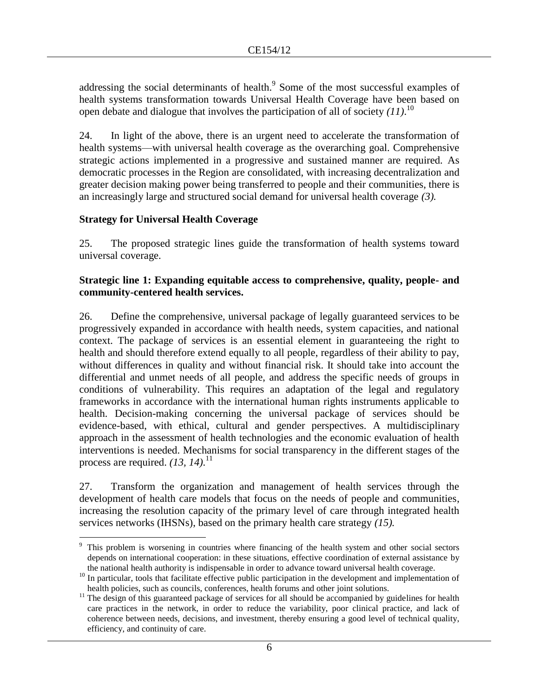addressing the social determinants of health. $9$  Some of the most successful examples of health systems transformation towards Universal Health Coverage have been based on open debate and dialogue that involves the participation of all of society *(11)*. 10

24. In light of the above, there is an urgent need to accelerate the transformation of health systems––with universal health coverage as the overarching goal. Comprehensive strategic actions implemented in a progressive and sustained manner are required. As democratic processes in the Region are consolidated, with increasing decentralization and greater decision making power being transferred to people and their communities, there is an increasingly large and structured social demand for universal health coverage *(3).*

# **Strategy for Universal Health Coverage**

25. The proposed strategic lines guide the transformation of health systems toward universal coverage.

#### **Strategic line 1: Expanding equitable access to comprehensive, quality, people- and community-centered health services.**

26. Define the comprehensive, universal package of legally guaranteed services to be progressively expanded in accordance with health needs, system capacities, and national context. The package of services is an essential element in guaranteeing the right to health and should therefore extend equally to all people, regardless of their ability to pay, without differences in quality and without financial risk. It should take into account the differential and unmet needs of all people, and address the specific needs of groups in conditions of vulnerability. This requires an adaptation of the legal and regulatory frameworks in accordance with the international human rights instruments applicable to health. Decision-making concerning the universal package of services should be evidence-based, with ethical, cultural and gender perspectives. A multidisciplinary approach in the assessment of health technologies and the economic evaluation of health interventions is needed. Mechanisms for social transparency in the different stages of the process are required. *(13, 14)*. 11

27. Transform the organization and management of health services through the development of health care models that focus on the needs of people and communities, increasing the resolution capacity of the primary level of care through integrated health services networks (IHSNs), based on the primary health care strategy *(15).* 

 $\overline{a}$ This problem is worsening in countries where financing of the health system and other social sectors depends on international cooperation: in these situations, effective coordination of external assistance by the national health authority is indispensable in order to advance toward universal health coverage.

<sup>&</sup>lt;sup>10</sup> In particular, tools that facilitate effective public participation in the development and implementation of health policies, such as councils, conferences, health forums and other joint solutions.

 $11$  The design of this guaranteed package of services for all should be accompanied by guidelines for health care practices in the network, in order to reduce the variability, poor clinical practice, and lack of coherence between needs, decisions, and investment, thereby ensuring a good level of technical quality, efficiency, and continuity of care.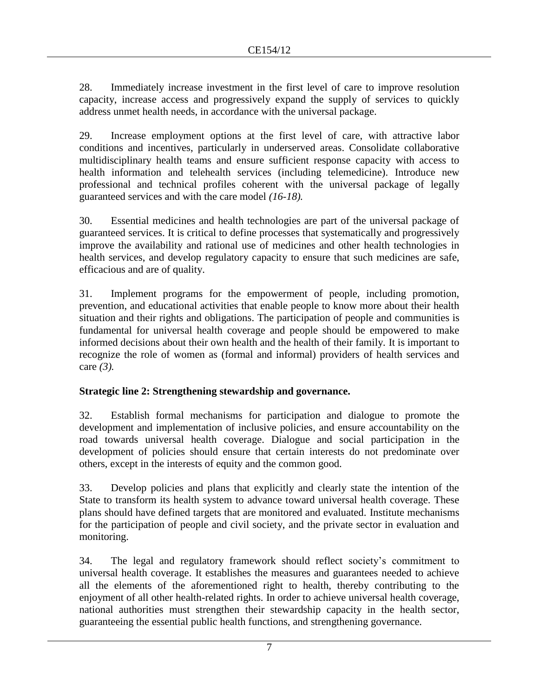28. Immediately increase investment in the first level of care to improve resolution capacity, increase access and progressively expand the supply of services to quickly address unmet health needs, in accordance with the universal package.

29. Increase employment options at the first level of care, with attractive labor conditions and incentives, particularly in underserved areas. Consolidate collaborative multidisciplinary health teams and ensure sufficient response capacity with access to health information and telehealth services (including telemedicine). Introduce new professional and technical profiles coherent with the universal package of legally guaranteed services and with the care model *(16-18).* 

30. Essential medicines and health technologies are part of the universal package of guaranteed services. It is critical to define processes that systematically and progressively improve the availability and rational use of medicines and other health technologies in health services, and develop regulatory capacity to ensure that such medicines are safe, efficacious and are of quality.

31. Implement programs for the empowerment of people, including promotion, prevention, and educational activities that enable people to know more about their health situation and their rights and obligations. The participation of people and communities is fundamental for universal health coverage and people should be empowered to make informed decisions about their own health and the health of their family*.* It is important to recognize the role of women as (formal and informal) providers of health services and care *(3).*

# **Strategic line 2: Strengthening stewardship and governance.**

32. Establish formal mechanisms for participation and dialogue to promote the development and implementation of inclusive policies, and ensure accountability on the road towards universal health coverage. Dialogue and social participation in the development of policies should ensure that certain interests do not predominate over others, except in the interests of equity and the common good.

33. Develop policies and plans that explicitly and clearly state the intention of the State to transform its health system to advance toward universal health coverage. These plans should have defined targets that are monitored and evaluated. Institute mechanisms for the participation of people and civil society, and the private sector in evaluation and monitoring.

34. The legal and regulatory framework should reflect society's commitment to universal health coverage. It establishes the measures and guarantees needed to achieve all the elements of the aforementioned right to health, thereby contributing to the enjoyment of all other health-related rights. In order to achieve universal health coverage, national authorities must strengthen their stewardship capacity in the health sector, guaranteeing the essential public health functions, and strengthening governance.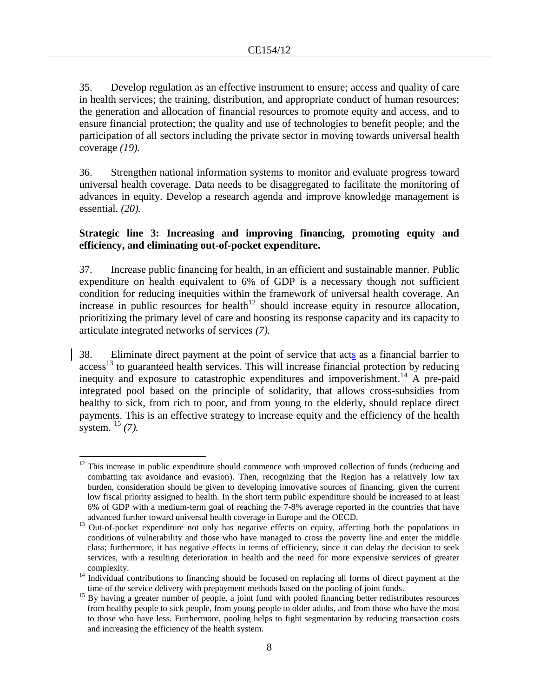35. Develop regulation as an effective instrument to ensure; access and quality of care in health services; the training, distribution, and appropriate conduct of human resources; the generation and allocation of financial resources to promote equity and access, and to ensure financial protection; the quality and use of technologies to benefit people; and the participation of all sectors including the private sector in moving towards universal health coverage *(19).* 

36. Strengthen national information systems to monitor and evaluate progress toward universal health coverage. Data needs to be disaggregated to facilitate the monitoring of advances in equity. Develop a research agenda and improve knowledge management is essential. *(20).*

#### **Strategic line 3: Increasing and improving financing, promoting equity and efficiency, and eliminating out-of-pocket expenditure.**

37. Increase public financing for health, in an efficient and sustainable manner. Public expenditure on health equivalent to 6% of GDP is a necessary though not sufficient condition for reducing inequities within the framework of universal health coverage. An increase in public resources for health<sup>12</sup> should increase equity in resource allocation, prioritizing the primary level of care and boosting its response capacity and its capacity to articulate integrated networks of services *(7).* 

38. Eliminate direct payment at the point of service that acts as a financial barrier to access<sup>13</sup> to guaranteed health services. This will increase financial protection by reducing inequity and exposure to catastrophic expenditures and impoverishment.<sup>14</sup> A pre-paid integrated pool based on the principle of solidarity, that allows cross-subsidies from healthy to sick, from rich to poor, and from young to the elderly, should replace direct payments. This is an effective strategy to increase equity and the efficiency of the health system. <sup>15</sup> *(7).* 

 $\overline{a}$  $12$  This increase in public expenditure should commence with improved collection of funds (reducing and combatting tax avoidance and evasion). Then, recognizing that the Region has a relatively low tax burden, consideration should be given to developing innovative sources of financing, given the current low fiscal priority assigned to health. In the short term public expenditure should be increased to at least 6% of GDP with a medium-term goal of reaching the 7-8% average reported in the countries that have advanced further toward universal health coverage in Europe and the OECD.

<sup>&</sup>lt;sup>13</sup> Out-of-pocket expenditure not only has negative effects on equity, affecting both the populations in conditions of vulnerability and those who have managed to cross the poverty line and enter the middle class; furthermore, it has negative effects in terms of efficiency, since it can delay the decision to seek services, with a resulting deterioration in health and the need for more expensive services of greater complexity.

<sup>&</sup>lt;sup>14</sup> Individual contributions to financing should be focused on replacing all forms of direct payment at the time of the service delivery with prepayment methods based on the pooling of joint funds.

<sup>&</sup>lt;sup>15</sup> By having a greater number of people, a joint fund with pooled financing better redistributes resources from healthy people to sick people, from young people to older adults, and from those who have the most to those who have less. Furthermore, pooling helps to fight segmentation by reducing transaction costs and increasing the efficiency of the health system.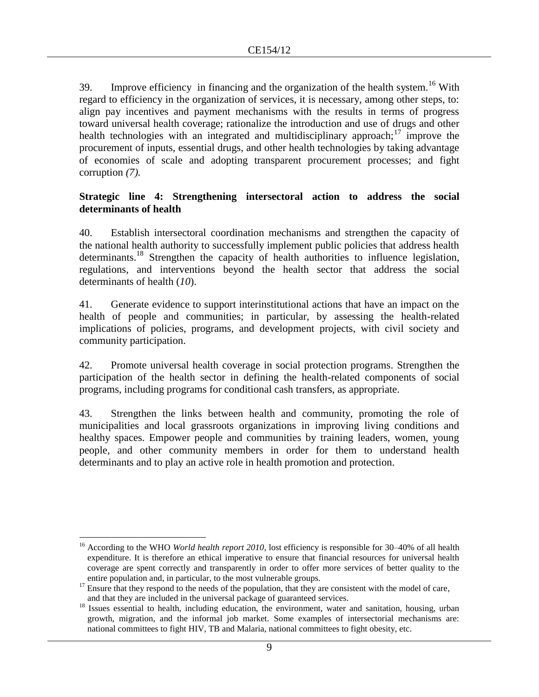39. Improve efficiency in financing and the organization of the health system.<sup>16</sup> With regard to efficiency in the organization of services, it is necessary, among other steps, to: align pay incentives and payment mechanisms with the results in terms of progress toward universal health coverage; rationalize the introduction and use of drugs and other health technologies with an integrated and multidisciplinary approach;<sup>17</sup> improve the procurement of inputs, essential drugs, and other health technologies by taking advantage of economies of scale and adopting transparent procurement processes; and fight corruption *(7).* 

#### **Strategic line 4: Strengthening intersectoral action to address the social determinants of health**

40. Establish intersectoral coordination mechanisms and strengthen the capacity of the national health authority to successfully implement public policies that address health determinants.<sup>18</sup> Strengthen the capacity of health authorities to influence legislation, regulations, and interventions beyond the health sector that address the social determinants of health (*10*).

41. Generate evidence to support interinstitutional actions that have an impact on the health of people and communities; in particular, by assessing the health-related implications of policies, programs, and development projects, with civil society and community participation.

42. Promote universal health coverage in social protection programs. Strengthen the participation of the health sector in defining the health-related components of social programs, including programs for conditional cash transfers, as appropriate.

43. Strengthen the links between health and community, promoting the role of municipalities and local grassroots organizations in improving living conditions and healthy spaces. Empower people and communities by training leaders, women, young people, and other community members in order for them to understand health determinants and to play an active role in health promotion and protection.

 $\overline{a}$ <sup>16</sup> According to the WHO *World health report 2010*, lost efficiency is responsible for 30–40% of all health expenditure. It is therefore an ethical imperative to ensure that financial resources for universal health coverage are spent correctly and transparently in order to offer more services of better quality to the entire population and, in particular, to the most vulnerable groups.

<sup>&</sup>lt;sup>17</sup> Ensure that they respond to the needs of the population, that they are consistent with the model of care, and that they are included in the universal package of guaranteed services.

<sup>&</sup>lt;sup>18</sup> Issues essential to health, including education, the environment, water and sanitation, housing, urban growth, migration, and the informal job market. Some examples of intersectorial mechanisms are: national committees to fight HIV, TB and Malaria, national committees to fight obesity, etc.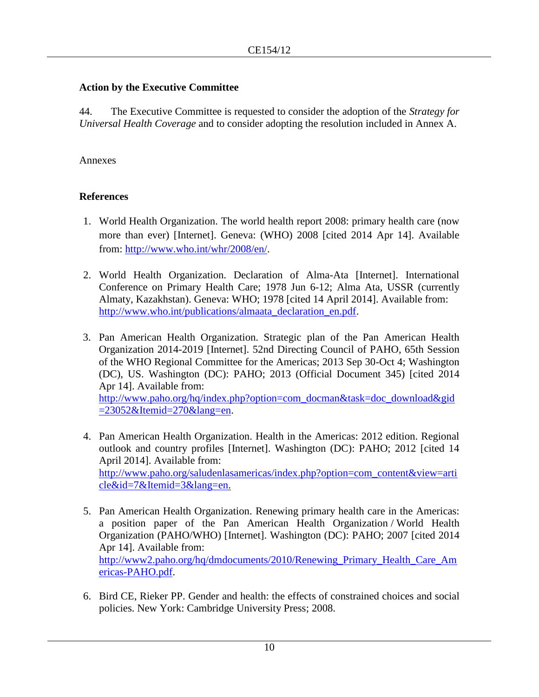# **Action by the Executive Committee**

44. The Executive Committee is requested to consider the adoption of the *Strategy for Universal Health Coverage* and to consider adopting the resolution included in Annex A.

#### Annexes

# **References**

- 1. World Health Organization. The world health report 2008: primary health care (now more than ever) [Internet]. Geneva: (WHO) 2008 [cited 2014 Apr 14]. Available from: [http://www.who.int/whr/2008/en/.](http://www.who.int/whr/2008/en/)
- 2. World Health Organization. Declaration of Alma-Ata [Internet]. International Conference on Primary Health Care; 1978 Jun 6-12; Alma Ata, USSR (currently Almaty, Kazakhstan). Geneva: WHO; 1978 [cited 14 April 2014]. Available from: [http://www.who.int/publications/almaata\\_declaration\\_en.pdf.](http://www.who.int/publications/almaata_declaration_en.pdf)
- 3. Pan American Health Organization. Strategic plan of the Pan American Health Organization 2014-2019 [Internet]. 52nd Directing Council of PAHO, 65th Session of the WHO Regional Committee for the Americas; 2013 Sep 30-Oct 4; Washington (DC), US. Washington (DC): PAHO; 2013 (Official Document 345) [cited 2014 Apr 14]. Available from: [http://www.paho.org/hq/index.php?option=com\\_docman&task=doc\\_download&gid](http://www.paho.org/hq/index.php?option=com_docman&task=doc_download&gid=23052&Itemid=270&lang=en)  $=23052\&$ Itemid $=270\&$ lang $=$ en.
- 4. Pan American Health Organization. Health in the Americas: 2012 edition. Regional outlook and country profiles [Internet]. Washington (DC): PAHO; 2012 [cited 14 April 2014]. Available from: [http://www.paho.org/saludenlasamericas/index.php?option=com\\_content&view=arti](http://www.paho.org/saludenlasamericas/index.php?option=com_content&view=article&id=7&Itemid=3&lang=en) [cle&id=7&Itemid=3&lang=en.](http://www.paho.org/saludenlasamericas/index.php?option=com_content&view=article&id=7&Itemid=3&lang=en)
- 5. Pan American Health Organization. Renewing primary health care in the Americas: a position paper of the Pan American Health Organization / World Health Organization (PAHO/WHO) [Internet]. Washington (DC): PAHO; 2007 [cited 2014 Apr 14]. Available from: [http://www2.paho.org/hq/dmdocuments/2010/Renewing\\_Primary\\_Health\\_Care\\_Am](http://www2.paho.org/hq/dmdocuments/2010/Renewing_Primary_Health_Care_Americas-PAHO.pdf) [ericas-PAHO.pdf.](http://www2.paho.org/hq/dmdocuments/2010/Renewing_Primary_Health_Care_Americas-PAHO.pdf)
- 6. Bird CE, Rieker PP. Gender and health: the effects of constrained choices and social policies. New York: Cambridge University Press; 2008.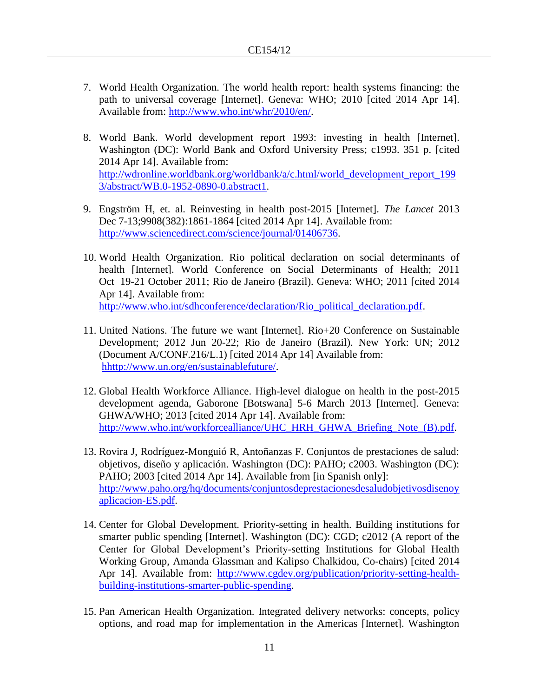- 7. World Health Organization. The world health report: health systems financing: the path to universal coverage [Internet]. Geneva: WHO; 2010 [cited 2014 Apr 14]. Available from: [http://www.who.int/whr/2010/en/.](http://www.who.int/whr/2010/en/)
- 8. World Bank. World development report 1993: investing in health [Internet]. Washington (DC): World Bank and Oxford University Press; c1993. 351 p. [cited 2014 Apr 14]. Available from: [http://wdronline.worldbank.org/worldbank/a/c.html/world\\_development\\_report\\_199](http://wdronline.worldbank.org/worldbank/a/c.html/world_development_report_1993/abstract/WB.0-1952-0890-0.abstract1) [3/abstract/WB.0-1952-0890-0.abstract1.](http://wdronline.worldbank.org/worldbank/a/c.html/world_development_report_1993/abstract/WB.0-1952-0890-0.abstract1)
- 9. Engström H, et. al. Reinvesting in health post-2015 [Internet]. *The Lancet* 2013 Dec 7-13;9908(382):1861-1864 [cited 2014 Apr 14]. Available from: [http://www.sciencedirect.com/science/journal/01406736.](http://www.sciencedirect.com/science/journal/01406736)
- 10. World Health Organization. Rio political declaration on social determinants of health [Internet]. World Conference on Social Determinants of Health; 2011 Oct 19-21 October 2011; Rio de Janeiro (Brazil). Geneva: WHO; 2011 [cited 2014 Apr 14]. Available from: [http://www.who.int/sdhconference/declaration/Rio\\_political\\_declaration.pdf.](http://www.who.int/sdhconference/declaration/Rio_political_declaration.pdf)
- 11. United Nations. The future we want [Internet]. Rio+20 Conference on Sustainable Development; 2012 Jun 20-22; Rio de Janeiro (Brazil). New York: UN; 2012 (Document A/CONF.216/L.1) [cited 2014 Apr 14] Available from: [hhttp://www.un.org/en/sustainablefuture/.](hhttp://www.un.org/en/sustainablefuture/)
- 12. Global Health Workforce Alliance. High-level dialogue on health in the post-2015 development agenda, Gaborone [Botswana] 5-6 March 2013 [Internet]. Geneva: GHWA/WHO; 2013 [cited 2014 Apr 14]. Available from: [http://www.who.int/workforcealliance/UHC\\_HRH\\_GHWA\\_Briefing\\_Note\\_\(B\).pdf.](http://www.who.int/workforcealliance/UHC_HRH_GHWA_Briefing_Note_(B).pdf)
- 13. Rovira J, Rodríguez-Monguió R, Antoñanzas F. Conjuntos de prestaciones de salud: objetivos, diseño y aplicación. Washington (DC): PAHO; c2003. Washington (DC): PAHO; 2003 [cited 2014 Apr 14]. Available from [in Spanish only]: [http://www.paho.org/hq/documents/conjuntosdeprestacionesdesaludobjetivosdisenoy](http://www.paho.org/hq/documents/conjuntosdeprestacionesdesaludobjetivosdisenoyaplicacion-ES.pdf) [aplicacion-ES.pdf.](http://www.paho.org/hq/documents/conjuntosdeprestacionesdesaludobjetivosdisenoyaplicacion-ES.pdf)
- 14. Center for Global Development. Priority-setting in health. Building institutions for smarter public spending [Internet]. Washington (DC): CGD; c2012 (A report of the Center for Global Development's Priority-setting Institutions for Global Health Working Group, Amanda Glassman and Kalipso Chalkidou, Co-chairs) [cited 2014 Apr 14]. Available from: [http://www.cgdev.org/publication/priority-setting-health](http://www.cgdev.org/publication/priority-setting-health-building-institutions-smarter-public-spending)[building-institutions-smarter-public-spending.](http://www.cgdev.org/publication/priority-setting-health-building-institutions-smarter-public-spending)
- 15. Pan American Health Organization. Integrated delivery networks: concepts, policy options, and road map for implementation in the Americas [Internet]. Washington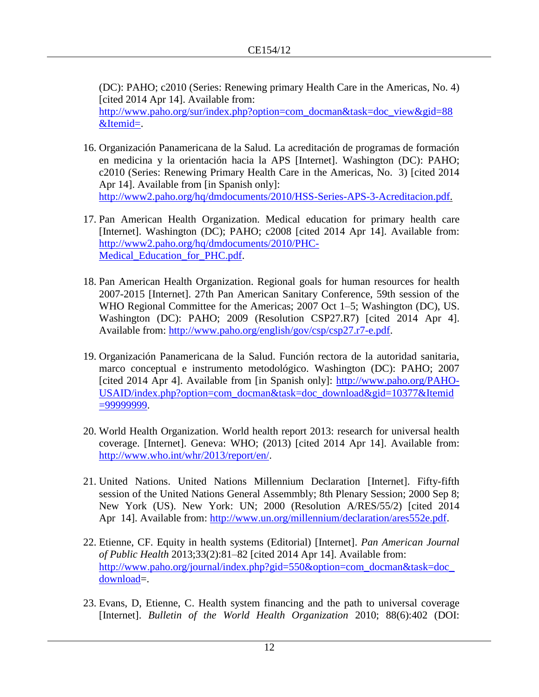(DC): PAHO; c2010 (Series: Renewing primary Health Care in the Americas, No. 4) [cited 2014 Apr 14]. Available from:

[http://www.paho.org/sur/index.php?option=com\\_docman&task=doc\\_view&gid=88](http://www.paho.org/sur/index.php?option=com_docman&task=doc_view&gid=88&Itemid=) [&Itemid=.](http://www.paho.org/sur/index.php?option=com_docman&task=doc_view&gid=88&Itemid=)

- 16. Organización Panamericana de la Salud. La acreditación de programas de formación en medicina y la orientación hacia la APS [Internet]. Washington (DC): PAHO; c2010 (Series: Renewing Primary Health Care in the Americas, No. 3) [cited 2014 Apr 14]. Available from [in Spanish only]: [http://www2.paho.org/hq/dmdocuments/2010/HSS-Series-APS-3-Acreditacion.pdf.](http://www2.paho.org/hq/dmdocuments/2010/HSS-Series-APS-3-Acreditacion.pdf)
- 17. Pan American Health Organization. Medical education for primary health care [Internet]. Washington (DC); PAHO; c2008 [cited 2014 Apr 14]. Available from: [http://www2.paho.org/hq/dmdocuments/2010/PHC-](http://www2.paho.org/hq/dmdocuments/2010/PHC-Medical_Education_for_PHC.pdf)[Medical\\_Education\\_for\\_PHC.pdf.](http://www2.paho.org/hq/dmdocuments/2010/PHC-Medical_Education_for_PHC.pdf)
- 18. Pan American Health Organization. Regional goals for human resources for health 2007-2015 [Internet]. 27th Pan American Sanitary Conference, 59th session of the WHO Regional Committee for the Americas; 2007 Oct 1–5; Washington (DC), US. Washington (DC): PAHO; 2009 (Resolution CSP27.R7) [cited 2014 Apr 4]. Available from: [http://www.paho.org/english/gov/csp/csp27.r7-e.pdf.](http://www.paho.org/english/gov/csp/csp27.r7-e.pdf)
- 19. Organización Panamericana de la Salud. Función rectora de la autoridad sanitaria, marco conceptual e instrumento metodológico. Washington (DC): PAHO; 2007 [cited 2014 Apr 4]. Available from [in Spanish only]: [http://www.paho.org/PAHO-](http://www.paho.org/PAHO-USAID/index.php?option=com_docman&task=doc_download&gid=10377&Itemid=99999999)[USAID/index.php?option=com\\_docman&task=doc\\_download&gid=10377&Itemid](http://www.paho.org/PAHO-USAID/index.php?option=com_docman&task=doc_download&gid=10377&Itemid=99999999) [=99999999.](http://www.paho.org/PAHO-USAID/index.php?option=com_docman&task=doc_download&gid=10377&Itemid=99999999)
- 20. World Health Organization. World health report 2013: research for universal health coverage. [Internet]. Geneva: WHO; (2013) [cited 2014 Apr 14]. Available from: [http://www.who.int/whr/2013/report/en/.](http://www.who.int/whr/2013/report/en/)
- 21. United Nations. United Nations Millennium Declaration [Internet]. Fifty-fifth session of the United Nations General Assemmbly; 8th Plenary Session; 2000 Sep 8; New York (US). New York: UN; 2000 (Resolution A/RES/55/2) [cited 2014 Apr 14]. Available from: [http://www.un.org/millennium/declaration/ares552e.pdf.](http://www.un.org/millennium/declaration/ares552e.pdf)
- 22. Etienne, CF. Equity in health systems (Editorial) [Internet]. *Pan American Journal of Public Health* 2013;33(2):81–82 [cited 2014 Apr 14]. Available from: [http://www.paho.org/journal/index.php?gid=550&option=com\\_docman&task=doc\\_](http://www.paho.org/journal/index.php?gid=550&option=com_docman&task=doc_download) [download=](http://www.paho.org/journal/index.php?gid=550&option=com_docman&task=doc_download).
- 23. Evans, D, Etienne, C. Health system financing and the path to universal coverage [Internet]. *Bulletin of the World Health Organization* 2010; 88(6):402 (DOI: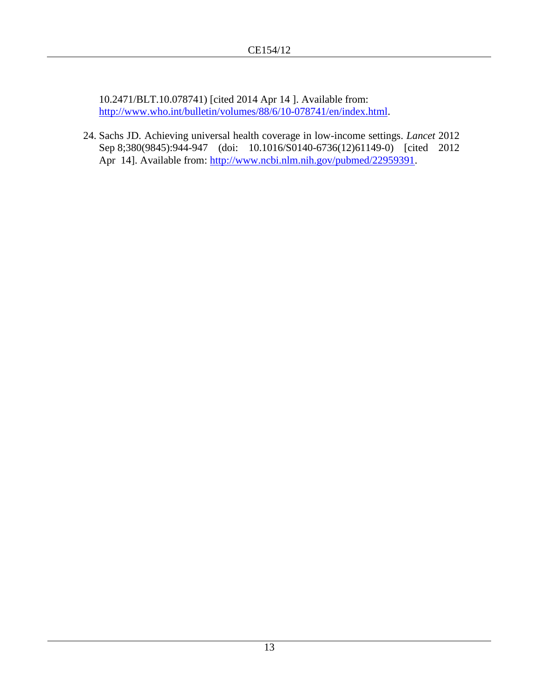10.2471/BLT.10.078741) [cited 2014 Apr 14 ]. Available from: [http://www.who.int/bulletin/volumes/88/6/10-078741/en/index.html.](http://www.who.int/bulletin/volumes/88/6/10-078741/en/index.html)

24. Sachs JD. Achieving universal health coverage in low-income settings. *Lancet* 2012 Sep 8;380(9845):944-947 (doi: 10.1016/S0140-6736(12)61149-0) [cited 2012 Apr 14]. Available from: [http://www.ncbi.nlm.nih.gov/pubmed/22959391.](http://www.ncbi.nlm.nih.gov/pubmed/22959391)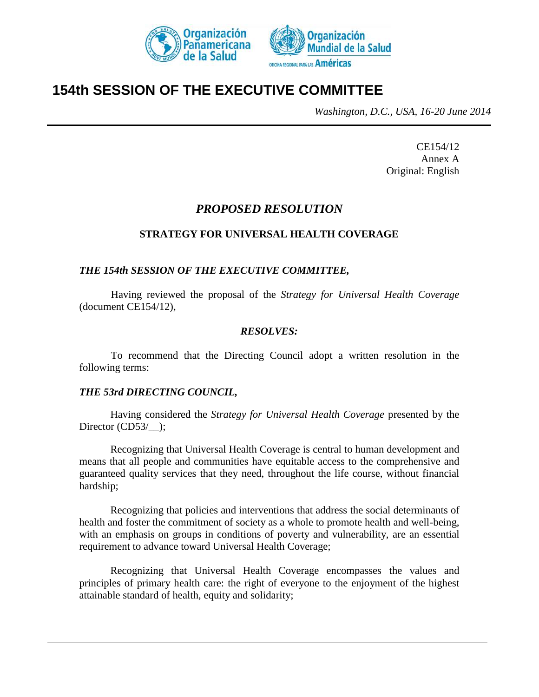



# **154th SESSION OF THE EXECUTIVE COMMITTEE**

*Washington, D.C., USA, 16-20 June 2014*

CE154/12 Annex A Original: English

# *PROPOSED RESOLUTION*

#### **STRATEGY FOR UNIVERSAL HEALTH COVERAGE**

#### *THE 154th SESSION OF THE EXECUTIVE COMMITTEE,*

Having reviewed the proposal of the *Strategy for Universal Health Coverage* (document CE154/12),

#### *RESOLVES:*

To recommend that the Directing Council adopt a written resolution in the following terms:

#### *THE 53rd DIRECTING COUNCIL,*

Having considered the *Strategy for Universal Health Coverage* presented by the Director (CD53/\_);

Recognizing that Universal Health Coverage is central to human development and means that all people and communities have equitable access to the comprehensive and guaranteed quality services that they need, throughout the life course, without financial hardship;

Recognizing that policies and interventions that address the social determinants of health and foster the commitment of society as a whole to promote health and well-being, with an emphasis on groups in conditions of poverty and vulnerability, are an essential requirement to advance toward Universal Health Coverage;

Recognizing that Universal Health Coverage encompasses the values and principles of primary health care: the right of everyone to the enjoyment of the highest attainable standard of health, equity and solidarity;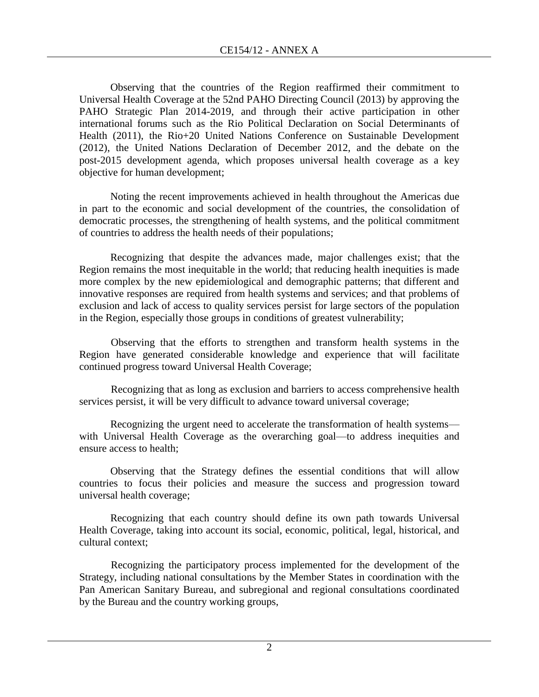Observing that the countries of the Region reaffirmed their commitment to Universal Health Coverage at the 52nd PAHO Directing Council (2013) by approving the PAHO Strategic Plan 2014-2019, and through their active participation in other international forums such as the Rio Political Declaration on Social Determinants of Health (2011), the Rio+20 United Nations Conference on Sustainable Development (2012), the United Nations Declaration of December 2012, and the debate on the post-2015 development agenda, which proposes universal health coverage as a key objective for human development;

Noting the recent improvements achieved in health throughout the Americas due in part to the economic and social development of the countries, the consolidation of democratic processes, the strengthening of health systems, and the political commitment of countries to address the health needs of their populations;

Recognizing that despite the advances made, major challenges exist; that the Region remains the most inequitable in the world; that reducing health inequities is made more complex by the new epidemiological and demographic patterns; that different and innovative responses are required from health systems and services; and that problems of exclusion and lack of access to quality services persist for large sectors of the population in the Region, especially those groups in conditions of greatest vulnerability;

Observing that the efforts to strengthen and transform health systems in the Region have generated considerable knowledge and experience that will facilitate continued progress toward Universal Health Coverage;

Recognizing that as long as exclusion and barriers to access comprehensive health services persist, it will be very difficult to advance toward universal coverage;

Recognizing the urgent need to accelerate the transformation of health systems–– with Universal Health Coverage as the overarching goal—to address inequities and ensure access to health;

Observing that the Strategy defines the essential conditions that will allow countries to focus their policies and measure the success and progression toward universal health coverage;

Recognizing that each country should define its own path towards Universal Health Coverage, taking into account its social, economic, political, legal, historical, and cultural context;

Recognizing the participatory process implemented for the development of the Strategy, including national consultations by the Member States in coordination with the Pan American Sanitary Bureau, and subregional and regional consultations coordinated by the Bureau and the country working groups,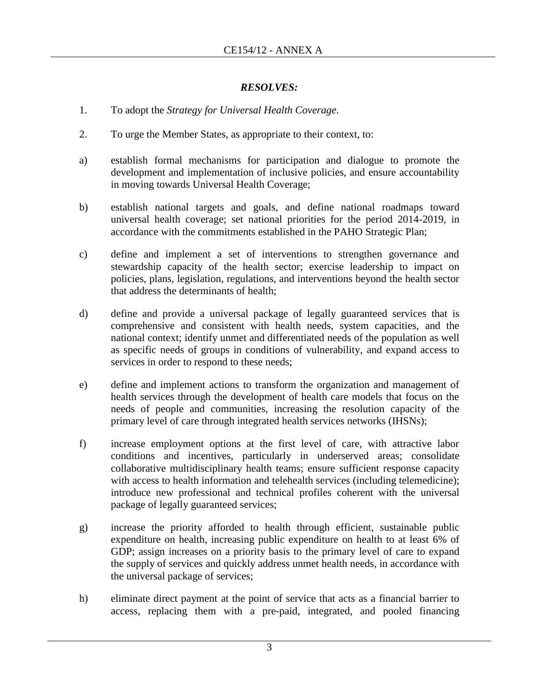# *RESOLVES:*

- 1. To adopt the *Strategy for Universal Health Coverage*.
- 2. To urge the Member States, as appropriate to their context, to:
- a) establish formal mechanisms for participation and dialogue to promote the development and implementation of inclusive policies, and ensure accountability in moving towards Universal Health Coverage;
- b) establish national targets and goals, and define national roadmaps toward universal health coverage; set national priorities for the period 2014-2019, in accordance with the commitments established in the PAHO Strategic Plan;
- c) define and implement a set of interventions to strengthen governance and stewardship capacity of the health sector; exercise leadership to impact on policies, plans, legislation, regulations, and interventions beyond the health sector that address the determinants of health;
- d) define and provide a universal package of legally guaranteed services that is comprehensive and consistent with health needs, system capacities, and the national context; identify unmet and differentiated needs of the population as well as specific needs of groups in conditions of vulnerability, and expand access to services in order to respond to these needs;
- e) define and implement actions to transform the organization and management of health services through the development of health care models that focus on the needs of people and communities, increasing the resolution capacity of the primary level of care through integrated health services networks (IHSNs);
- f) increase employment options at the first level of care, with attractive labor conditions and incentives, particularly in underserved areas; consolidate collaborative multidisciplinary health teams; ensure sufficient response capacity with access to health information and telehealth services (including telemedicine); introduce new professional and technical profiles coherent with the universal package of legally guaranteed services;
- g) increase the priority afforded to health through efficient, sustainable public expenditure on health, increasing public expenditure on health to at least 6% of GDP; assign increases on a priority basis to the primary level of care to expand the supply of services and quickly address unmet health needs, in accordance with the universal package of services;
- h) eliminate direct payment at the point of service that acts as a financial barrier to access, replacing them with a pre-paid, integrated, and pooled financing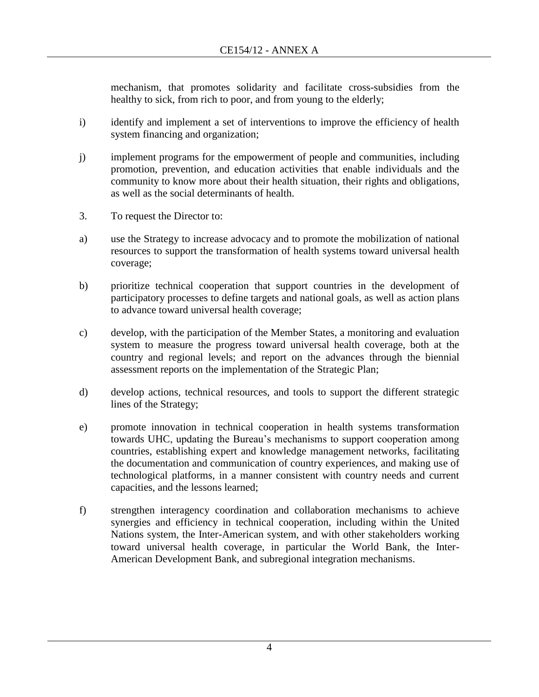mechanism, that promotes solidarity and facilitate cross-subsidies from the healthy to sick, from rich to poor, and from young to the elderly;

- i) identify and implement a set of interventions to improve the efficiency of health system financing and organization;
- j) implement programs for the empowerment of people and communities, including promotion, prevention, and education activities that enable individuals and the community to know more about their health situation, their rights and obligations, as well as the social determinants of health.
- 3. To request the Director to:
- a) use the Strategy to increase advocacy and to promote the mobilization of national resources to support the transformation of health systems toward universal health coverage;
- b) prioritize technical cooperation that support countries in the development of participatory processes to define targets and national goals, as well as action plans to advance toward universal health coverage;
- c) develop, with the participation of the Member States, a monitoring and evaluation system to measure the progress toward universal health coverage, both at the country and regional levels; and report on the advances through the biennial assessment reports on the implementation of the Strategic Plan;
- d) develop actions, technical resources, and tools to support the different strategic lines of the Strategy;
- e) promote innovation in technical cooperation in health systems transformation towards UHC, updating the Bureau's mechanisms to support cooperation among countries, establishing expert and knowledge management networks, facilitating the documentation and communication of country experiences, and making use of technological platforms, in a manner consistent with country needs and current capacities, and the lessons learned;
- f) strengthen interagency coordination and collaboration mechanisms to achieve synergies and efficiency in technical cooperation, including within the United Nations system, the Inter-American system, and with other stakeholders working toward universal health coverage, in particular the World Bank, the Inter-American Development Bank, and subregional integration mechanisms.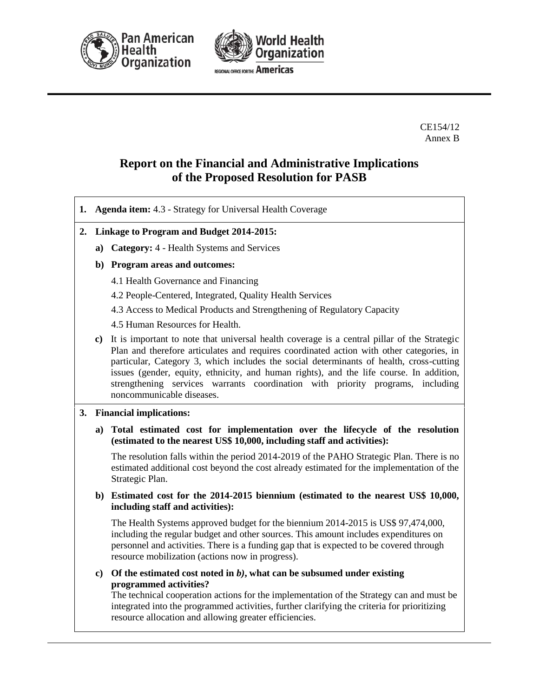



CE154/12 Annex B

# **Report on the Financial and Administrative Implications of the Proposed Resolution for PASB**

- **1. Agenda item:** 4.3 Strategy for Universal Health Coverage
- **2. Linkage to Program and Budget 2014-2015:**
	- **a) Category:** 4 Health Systems and Services
	- **b) Program areas and outcomes:**
		- 4.1 Health Governance and Financing
		- 4.2 People-Centered, Integrated, Quality Health Services
		- 4.3 Access to Medical Products and Strengthening of Regulatory Capacity
		- 4.5 Human Resources for Health.
	- **c)** It is important to note that universal health coverage is a central pillar of the Strategic Plan and therefore articulates and requires coordinated action with other categories, in particular, Category 3, which includes the social determinants of health, cross-cutting issues (gender, equity, ethnicity, and human rights), and the life course. In addition, strengthening services warrants coordination with priority programs, including noncommunicable diseases.

#### **3. Financial implications:**

**a) Total estimated cost for implementation over the lifecycle of the resolution (estimated to the nearest US\$ 10,000, including staff and activities):** 

The resolution falls within the period 2014-2019 of the PAHO Strategic Plan. There is no estimated additional cost beyond the cost already estimated for the implementation of the Strategic Plan.

**b) Estimated cost for the 2014-2015 biennium (estimated to the nearest US\$ 10,000, including staff and activities):**

The Health Systems approved budget for the biennium 2014-2015 is US\$ 97,474,000, including the regular budget and other sources. This amount includes expenditures on personnel and activities. There is a funding gap that is expected to be covered through resource mobilization (actions now in progress).

**c) Of the estimated cost noted in** *b)***, what can be subsumed under existing programmed activities?**

The technical cooperation actions for the implementation of the Strategy can and must be integrated into the programmed activities, further clarifying the criteria for prioritizing resource allocation and allowing greater efficiencies.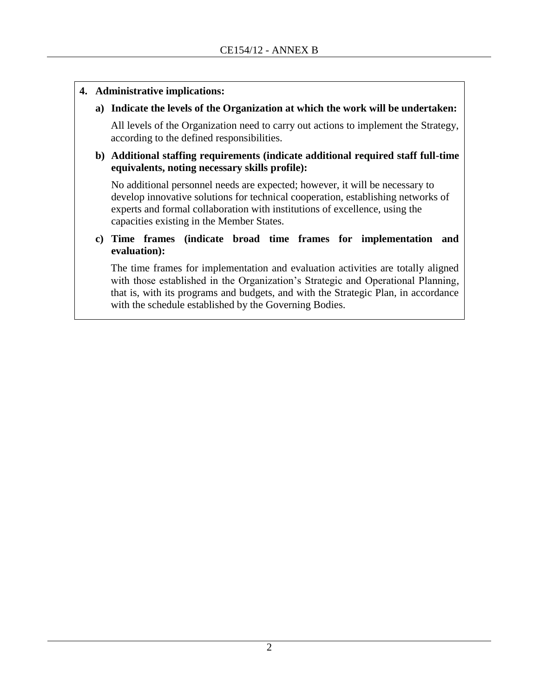#### **4. Administrative implications:**

## **a) Indicate the levels of the Organization at which the work will be undertaken:**

All levels of the Organization need to carry out actions to implement the Strategy, according to the defined responsibilities.

#### **b) Additional staffing requirements (indicate additional required staff full-time equivalents, noting necessary skills profile):**

No additional personnel needs are expected; however, it will be necessary to develop innovative solutions for technical cooperation, establishing networks of experts and formal collaboration with institutions of excellence, using the capacities existing in the Member States.

## **c) Time frames (indicate broad time frames for implementation and evaluation):**

The time frames for implementation and evaluation activities are totally aligned with those established in the Organization's Strategic and Operational Planning, that is, with its programs and budgets, and with the Strategic Plan, in accordance with the schedule established by the Governing Bodies.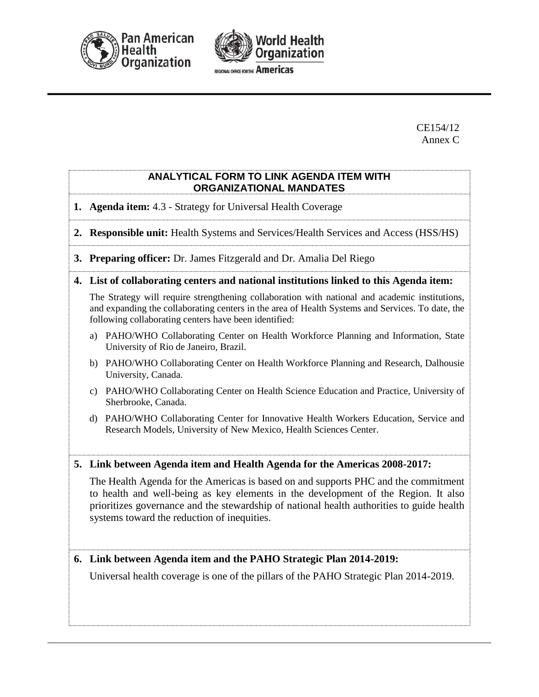



CE154/12 Annex C

#### **ANALYTICAL FORM TO LINK AGENDA ITEM WITH ORGANIZATIONAL MANDATES**

**1. Agenda item:** 4.3 - Strategy for Universal Health Coverage

**2. Responsible unit:** Health Systems and Services/Health Services and Access (HSS/HS)

- **3. Preparing officer:** Dr. James Fitzgerald and Dr. Amalia Del Riego
- **4. List of collaborating centers and national institutions linked to this Agenda item:**

The Strategy will require strengthening collaboration with national and academic institutions, and expanding the collaborating centers in the area of Health Systems and Services. To date, the following collaborating centers have been identified:

- a) PAHO/WHO Collaborating Center on Health Workforce Planning and Information, State University of Rio de Janeiro, Brazil.
- b) PAHO/WHO Collaborating Center on Health Workforce Planning and Research, Dalhousie University, Canada.
- c) PAHO/WHO Collaborating Center on Health Science Education and Practice, University of Sherbrooke, Canada.
- d) PAHO/WHO Collaborating Center for Innovative Health Workers Education, Service and Research Models, University of New Mexico, Health Sciences Center.

**5. Link between Agenda item and Health Agenda for the Americas 2008-2017:**

The Health Agenda for the Americas is based on and supports PHC and the commitment to health and well-being as key elements in the development of the Region. It also prioritizes governance and the stewardship of national health authorities to guide health systems toward the reduction of inequities.

# **6. Link between Agenda item and the PAHO Strategic Plan 2014-2019:**

Universal health coverage is one of the pillars of the PAHO Strategic Plan 2014-2019.